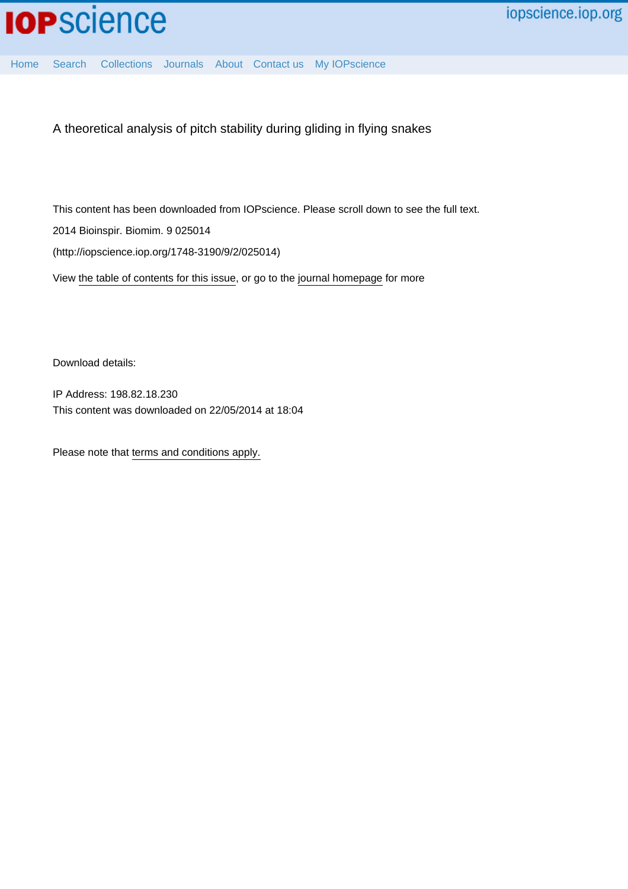

[Home](http://iopscience.iop.org/) [Search](http://iopscience.iop.org/search) [Collections](http://iopscience.iop.org/collections) [Journals](http://iopscience.iop.org/journals) [About](http://iopscience.iop.org/page/aboutioppublishing) [Contact us](http://iopscience.iop.org/contact) [My IOPscience](http://iopscience.iop.org/myiopscience)

A theoretical analysis of pitch stability during gliding in flying snakes

This content has been downloaded from IOPscience. Please scroll down to see the full text. 2014 Bioinspir. Biomim. 9 025014 (http://iopscience.iop.org/1748-3190/9/2/025014)

View [the table of contents for this issue](http://iopscience.iop.org/1748-3190/9/2), or go to the [journal homepage](http://iopscience.iop.org/1748-3190) for more

Download details:

IP Address: 198.82.18.230 This content was downloaded on 22/05/2014 at 18:04

Please note that [terms and conditions apply.](iopscience.iop.org/page/terms)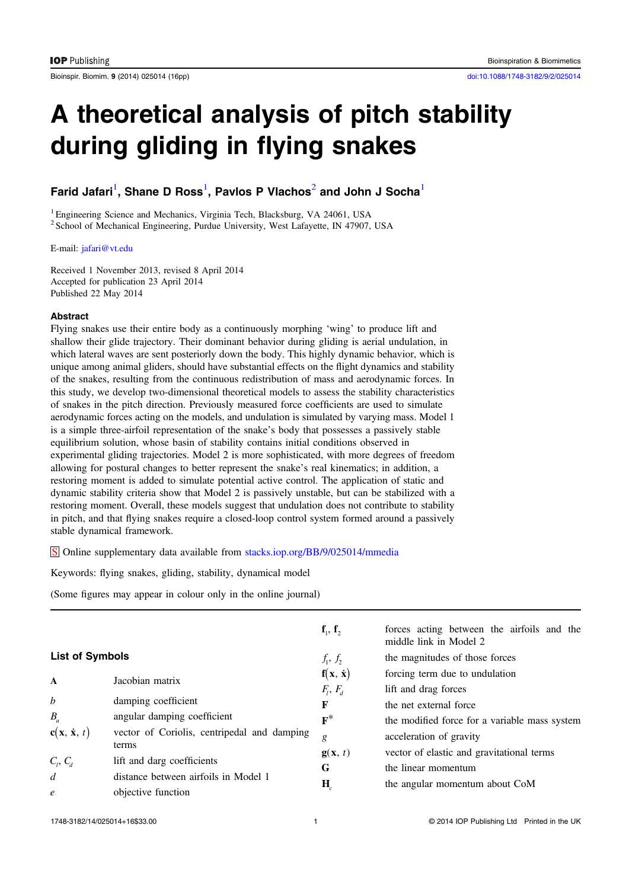Bioinspir. Biomim. 9 (2014) 025014 (16pp) [doi:10.1088/1748-3182/9/2/025014](http://dx.doi.org/10.1088/1748-3182/9/2/025014)

# A theoretical analysis of pitch stability during gliding in flying snakes

# Farid Jafari $^{\rm l}$ , Shane D Ross $^{\rm l}$ , Pavlos P Vlachos $^{\rm 2}$  and John J Socha $^{\rm l}$

<sup>1</sup> Engineering Science and Mechanics, Virginia Tech, Blacksburg, VA 24061, USA <sup>2</sup> School of Mechanical Engineering, Purdue University, West Lafayette, IN 47907, USA

E-mail: [jafari@vt.edu](mailto:jafari@vt.edu)

Received 1 November 2013, revised 8 April 2014 Accepted for publication 23 April 2014 Published 22 May 2014

## Abstract

Flying snakes use their entire body as a continuously morphing 'wing' to produce lift and shallow their glide trajectory. Their dominant behavior during gliding is aerial undulation, in which lateral waves are sent posteriorly down the body. This highly dynamic behavior, which is unique among animal gliders, should have substantial effects on the flight dynamics and stability of the snakes, resulting from the continuous redistribution of mass and aerodynamic forces. In this study, we develop two-dimensional theoretical models to assess the stability characteristics of snakes in the pitch direction. Previously measured force coefficients are used to simulate aerodynamic forces acting on the models, and undulation is simulated by varying mass. Model 1 is a simple three-airfoil representation of the snake's body that possesses a passively stable equilibrium solution, whose basin of stability contains initial conditions observed in experimental gliding trajectories. Model 2 is more sophisticated, with more degrees of freedom allowing for postural changes to better represent the snake's real kinematics; in addition, a restoring moment is added to simulate potential active control. The application of static and dynamic stability criteria show that Model 2 is passively unstable, but can be stabilized with a restoring moment. Overall, these models suggest that undulation does not contribute to stability in pitch, and that flying snakes require a closed-loop control system formed around a passively stable dynamical framework.

S Online supplementary data available from [stacks.iop.org/BB/9/025014/mmedia](http://stacks.iop.org/BB/9/025014/mmedia)

Keywords: flying snakes, gliding, stability, dynamical model

(Some figures may appear in colour only in the online journal)

|                        |                                                      | $f_1, f_2$                  | forces acting between the airfoils and the<br>middle link in Model 2 |  |
|------------------------|------------------------------------------------------|-----------------------------|----------------------------------------------------------------------|--|
| <b>List of Symbols</b> |                                                      | $f_1, f_2$                  | the magnitudes of those forces                                       |  |
| $\mathbf{A}$           | Jacobian matrix                                      | $f(x, \dot{x})$             | forcing term due to undulation                                       |  |
|                        |                                                      | $F_l, F_d$                  | lift and drag forces                                                 |  |
| $\boldsymbol{b}$       | damping coefficient                                  | F                           | the net external force                                               |  |
| $B_{\mu}$              | angular damping coefficient                          | $\mathbf{F}^*$              | the modified force for a variable mass system                        |  |
| $c(x, \dot{x}, t)$     | vector of Coriolis, centripedal and damping<br>terms | g                           | acceleration of gravity                                              |  |
|                        |                                                      | $\mathbf{g}(\mathbf{x}, t)$ | vector of elastic and gravitational terms                            |  |
| $C_l, C_d$             | lift and darg coefficients                           | G                           | the linear momentum                                                  |  |
| $\overline{d}$         | distance between airfoils in Model 1                 |                             | the angular momentum about CoM                                       |  |
| $\mathfrak{e}$         | objective function                                   | $\mathbf{H}_c$              |                                                                      |  |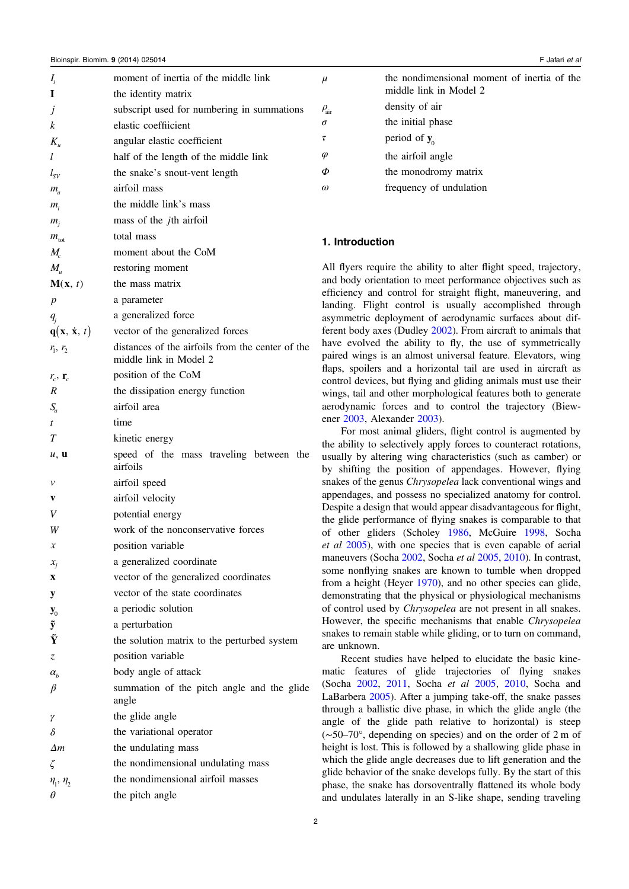| $I_i$                       | moment of inertia of the middle link                                     |  |
|-----------------------------|--------------------------------------------------------------------------|--|
| I                           | the identity matrix                                                      |  |
| j                           | subscript used for numbering in summations                               |  |
| k                           | elastic coeffiicient                                                     |  |
| $K_{\scriptscriptstyle u}$  | angular elastic coefficient                                              |  |
| l                           | half of the length of the middle link                                    |  |
| $l_{SV}$                    | the snake's snout-vent length                                            |  |
| $m_a$                       | airfoil mass                                                             |  |
| $m_i$                       | the middle link's mass                                                   |  |
| $m_i$                       | mass of the <i>j</i> th airfoil                                          |  |
| $m_{\text{tot}}$            | total mass                                                               |  |
| $M_{c}$                     | moment about the CoM                                                     |  |
| $M_{\scriptscriptstyle u}$  | restoring moment                                                         |  |
| M(x, t)                     | the mass matrix                                                          |  |
| $\boldsymbol{p}$            | a parameter                                                              |  |
|                             | a generalized force                                                      |  |
| $q_i$<br>$q(x, \dot{x}, t)$ | vector of the generalized forces                                         |  |
| $r_1, r_2$                  | distances of the airfoils from the center of the                         |  |
|                             | middle link in Model 2                                                   |  |
| $r_c$ , $\mathbf{r}_c$      | position of the CoM                                                      |  |
| $\boldsymbol{R}$            | the dissipation energy function                                          |  |
| $S_a$                       | airfoil area                                                             |  |
| t                           | time                                                                     |  |
| T                           | kinetic energy                                                           |  |
| u, u                        | speed of the mass traveling between the<br>airfoils                      |  |
| v                           | airfoil speed                                                            |  |
| V                           | airfoil velocity                                                         |  |
| V                           | potential energy                                                         |  |
|                             |                                                                          |  |
| W                           |                                                                          |  |
| x                           | work of the nonconservative forces                                       |  |
|                             | position variable                                                        |  |
| $x_i$<br>$\mathbf X$        | a generalized coordinate                                                 |  |
|                             | vector of the generalized coordinates<br>vector of the state coordinates |  |
| у                           |                                                                          |  |
| $\mathbf{y}_0$              | a periodic solution                                                      |  |
| $\tilde{\textbf{y}}$<br>Ŷ   | a perturbation                                                           |  |
|                             | the solution matrix to the perturbed system                              |  |
| Z.                          | position variable                                                        |  |
| $\alpha_{h}$                | body angle of attack                                                     |  |
| $\beta$                     | summation of the pitch angle and the glide<br>angle                      |  |
| γ                           | the glide angle                                                          |  |
| δ                           | the variational operator                                                 |  |
| $\Delta m$                  | the undulating mass                                                      |  |
| ζ                           | the nondimensional undulating mass                                       |  |
| $\eta_1$ , $\eta_2$         | the nondimensional airfoil masses                                        |  |

| $\mu$               | the nondimensional moment of inertia of the<br>middle link in Model 2 |
|---------------------|-----------------------------------------------------------------------|
| $\rho_{\text{air}}$ | density of air                                                        |
| $\sigma$            | the initial phase                                                     |
| $\tau$              | period of $y_0$                                                       |
| $\varphi$           | the airfoil angle                                                     |
| $\Phi$              | the monodromy matrix                                                  |
| $\omega$            | frequency of undulation                                               |

# 1. Introduction

All flyers require the ability to alter flight speed, trajectory, and body orientation to meet performance objectives such as efficiency and control for straight flight, maneuvering, and landing. Flight control is usually accomplished through asymmetric deployment of aerodynamic surfaces about different body axes (Dudley [2002](#page-15-0)). From aircraft to animals that have evolved the ability to fly, the use of symmetrically paired wings is an almost universal feature. Elevators, wing flaps, spoilers and a horizontal tail are used in aircraft as control devices, but flying and gliding animals must use their wings, tail and other morphological features both to generate aerodynamic forces and to control the trajectory (Biewener [2003](#page-15-0), Alexander [2003](#page-15-0)).

For most animal gliders, flight control is augmented by the ability to selectively apply forces to counteract rotations, usually by altering wing characteristics (such as camber) or by shifting the position of appendages. However, flying snakes of the genus Chrysopelea lack conventional wings and appendages, and possess no specialized anatomy for control. Despite a design that would appear disadvantageous for flight, the glide performance of flying snakes is comparable to that of other gliders (Scholey [1986,](#page-15-0) McGuire [1998](#page-15-0), Socha et al [2005\)](#page-15-0), with one species that is even capable of aerial maneuvers (Socha [2002](#page-15-0), Socha et al [2005](#page-15-0), [2010](#page-15-0)). In contrast, some nonflying snakes are known to tumble when dropped from a height (Heyer [1970](#page-15-0)), and no other species can glide, demonstrating that the physical or physiological mechanisms of control used by Chrysopelea are not present in all snakes. However, the specific mechanisms that enable Chrysopelea snakes to remain stable while gliding, or to turn on command, are unknown.

Recent studies have helped to elucidate the basic kinematic features of glide trajectories of flying snakes (Socha [2002,](#page-15-0) [2011,](#page-15-0) Socha et al [2005,](#page-15-0) [2010,](#page-15-0) Socha and LaBarbera [2005\)](#page-15-0). After a jumping take-off, the snake passes through a ballistic dive phase, in which the glide angle (the angle of the glide path relative to horizontal) is steep (∼50–70°, depending on species) and on the order of 2 m of height is lost. This is followed by a shallowing glide phase in which the glide angle decreases due to lift generation and the glide behavior of the snake develops fully. By the start of this phase, the snake has dorsoventrally flattened its whole body and undulates laterally in an S-like shape, sending traveling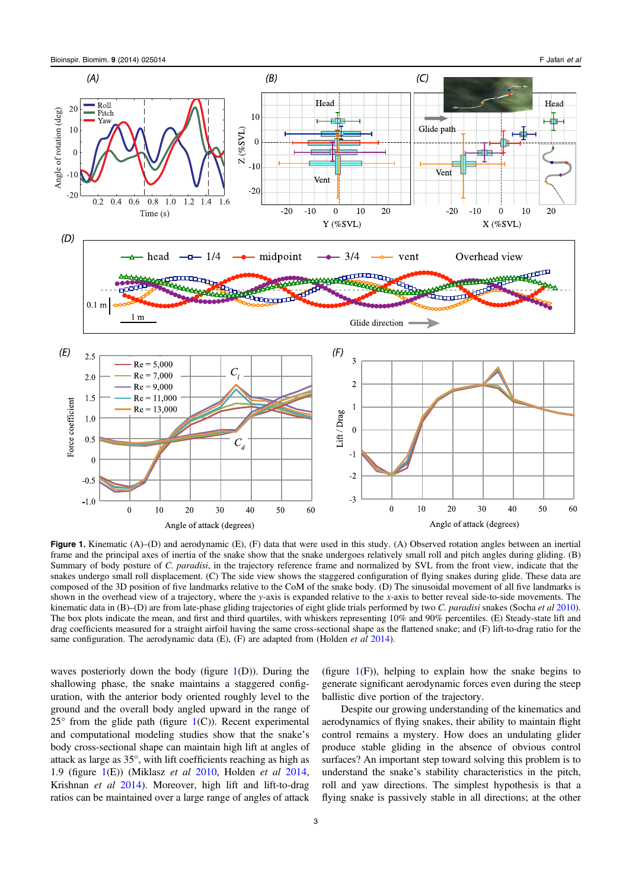<span id="page-3-0"></span>

Figure 1. Kinematic (A)–(D) and aerodynamic (E), (F) data that were used in this study. (A) Observed rotation angles between an inertial frame and the principal axes of inertia of the snake show that the snake undergoes relatively small roll and pitch angles during gliding. (B) Summary of body posture of C. paradisi, in the trajectory reference frame and normalized by SVL from the front view, indicate that the snakes undergo small roll displacement. (C) The side view shows the staggered configuration of flying snakes during glide. These data are composed of the 3D position of five landmarks relative to the CoM of the snake body. (D) The sinusoidal movement of all five landmarks is shown in the overhead view of a trajectory, where the y-axis is expanded relative to the x-axis to better reveal side-to-side movements. The kinematic data in  $(B)$ –(D) are from late-phase gliding trajectories of eight glide trials performed by two C. paradisi snakes (Socha et al [2010\)](#page-15-0). The box plots indicate the mean, and first and third quartiles, with whiskers representing 10% and 90% percentiles. (E) Steady-state lift and drag coefficients measured for a straight airfoil having the same cross-sectional shape as the flattened snake; and (F) lift-to-drag ratio for the same configuration. The aerodynamic data  $(E)$ ,  $(F)$  are adapted from (Holden *et al* [2014](#page-15-0)).

waves posteriorly down the body (figure  $1(D)$ ). During the shallowing phase, the snake maintains a staggered configuration, with the anterior body oriented roughly level to the ground and the overall body angled upward in the range of  $25^{\circ}$  from the glide path (figure 1(C)). Recent experimental and computational modeling studies show that the snake's body cross-sectional shape can maintain high lift at angles of attack as large as 35°, with lift coefficients reaching as high as 1.9 (figure  $1(E)$ ) (Miklasz *et al* [2010](#page-15-0), Holden *et al* [2014](#page-15-0), Krishnan et al [2014](#page-15-0)). Moreover, high lift and lift-to-drag ratios can be maintained over a large range of angles of attack

(figure  $1(F)$ ), helping to explain how the snake begins to generate significant aerodynamic forces even during the steep ballistic dive portion of the trajectory.

Despite our growing understanding of the kinematics and aerodynamics of flying snakes, their ability to maintain flight control remains a mystery. How does an undulating glider produce stable gliding in the absence of obvious control surfaces? An important step toward solving this problem is to understand the snake's stability characteristics in the pitch, roll and yaw directions. The simplest hypothesis is that a flying snake is passively stable in all directions; at the other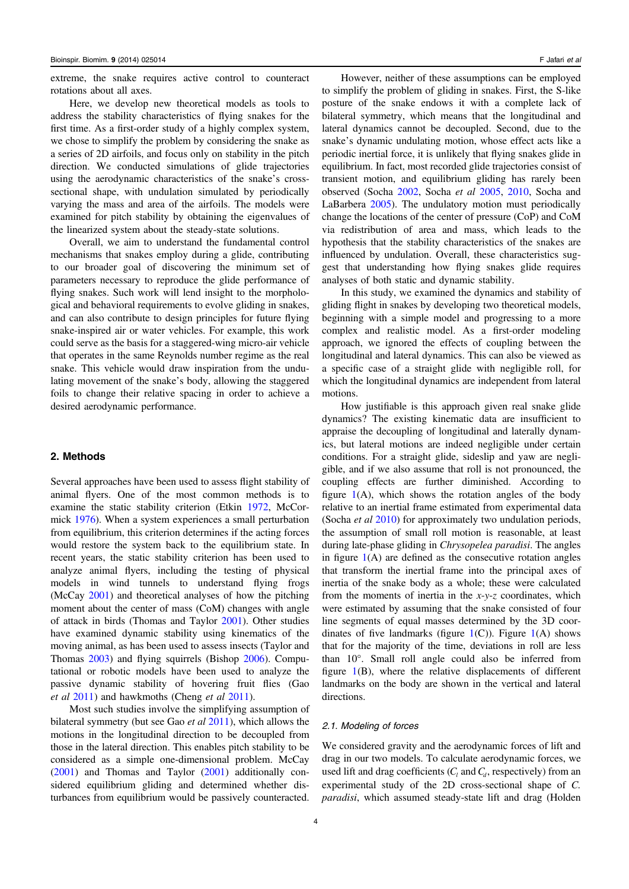extreme, the snake requires active control to counteract rotations about all axes.

Here, we develop new theoretical models as tools to address the stability characteristics of flying snakes for the first time. As a first-order study of a highly complex system, we chose to simplify the problem by considering the snake as a series of 2D airfoils, and focus only on stability in the pitch direction. We conducted simulations of glide trajectories using the aerodynamic characteristics of the snake's crosssectional shape, with undulation simulated by periodically varying the mass and area of the airfoils. The models were examined for pitch stability by obtaining the eigenvalues of the linearized system about the steady-state solutions.

Overall, we aim to understand the fundamental control mechanisms that snakes employ during a glide, contributing to our broader goal of discovering the minimum set of parameters necessary to reproduce the glide performance of flying snakes. Such work will lend insight to the morphological and behavioral requirements to evolve gliding in snakes, and can also contribute to design principles for future flying snake-inspired air or water vehicles. For example, this work could serve as the basis for a staggered-wing micro-air vehicle that operates in the same Reynolds number regime as the real snake. This vehicle would draw inspiration from the undulating movement of the snake's body, allowing the staggered foils to change their relative spacing in order to achieve a desired aerodynamic performance.

# 2. Methods

Several approaches have been used to assess flight stability of animal flyers. One of the most common methods is to examine the static stability criterion (Etkin [1972](#page-15-0), McCormick [1976](#page-15-0)). When a system experiences a small perturbation from equilibrium, this criterion determines if the acting forces would restore the system back to the equilibrium state. In recent years, the static stability criterion has been used to analyze animal flyers, including the testing of physical models in wind tunnels to understand flying frogs (McCay [2001\)](#page-15-0) and theoretical analyses of how the pitching moment about the center of mass (CoM) changes with angle of attack in birds (Thomas and Taylor [2001\)](#page-16-0). Other studies have examined dynamic stability using kinematics of the moving animal, as has been used to assess insects (Taylor and Thomas [2003\)](#page-16-0) and flying squirrels (Bishop [2006\)](#page-15-0). Computational or robotic models have been used to analyze the passive dynamic stability of hovering fruit flies (Gao et al [2011](#page-15-0)) and hawkmoths (Cheng et al [2011](#page-15-0)).

Most such studies involve the simplifying assumption of bilateral symmetry (but see Gao *et al* [2011](#page-15-0)), which allows the motions in the longitudinal direction to be decoupled from those in the lateral direction. This enables pitch stability to be considered as a simple one-dimensional problem. McCay [\(2001\)](#page-15-0) and Thomas and Taylor [\(2001](#page-16-0)) additionally considered equilibrium gliding and determined whether disturbances from equilibrium would be passively counteracted.

However, neither of these assumptions can be employed to simplify the problem of gliding in snakes. First, the S-like posture of the snake endows it with a complete lack of bilateral symmetry, which means that the longitudinal and lateral dynamics cannot be decoupled. Second, due to the snake's dynamic undulating motion, whose effect acts like a periodic inertial force, it is unlikely that flying snakes glide in equilibrium. In fact, most recorded glide trajectories consist of transient motion, and equilibrium gliding has rarely been observed (Socha [2002](#page-15-0), Socha et al [2005](#page-15-0), [2010,](#page-15-0) Socha and LaBarbera [2005\)](#page-15-0). The undulatory motion must periodically change the locations of the center of pressure (CoP) and CoM via redistribution of area and mass, which leads to the hypothesis that the stability characteristics of the snakes are influenced by undulation. Overall, these characteristics suggest that understanding how flying snakes glide requires analyses of both static and dynamic stability.

In this study, we examined the dynamics and stability of gliding flight in snakes by developing two theoretical models, beginning with a simple model and progressing to a more complex and realistic model. As a first-order modeling approach, we ignored the effects of coupling between the longitudinal and lateral dynamics. This can also be viewed as a specific case of a straight glide with negligible roll, for which the longitudinal dynamics are independent from lateral motions.

How justifiable is this approach given real snake glide dynamics? The existing kinematic data are insufficient to appraise the decoupling of longitudinal and laterally dynamics, but lateral motions are indeed negligible under certain conditions. For a straight glide, sideslip and yaw are negligible, and if we also assume that roll is not pronounced, the coupling effects are further diminished. According to figure  $1(A)$  $1(A)$ , which shows the rotation angles of the body relative to an inertial frame estimated from experimental data (Socha *et al [2010](#page-15-0)*) for approximately two undulation periods, the assumption of small roll motion is reasonable, at least during late-phase gliding in *Chrysopelea paradisi*. The angles in figure  $1(A)$  $1(A)$  are defined as the consecutive rotation angles that transform the inertial frame into the principal axes of inertia of the snake body as a whole; these were calculated from the moments of inertia in the  $x-y-z$  coordinates, which were estimated by assuming that the snake consisted of four line segments of equal masses determined by the 3D coordinates of five landmarks (figure  $1(C)$  $1(C)$ ). Figure  $1(A)$  shows that for the majority of the time, deviations in roll are less than 10°. Small roll angle could also be inferred from figure  $1(B)$  $1(B)$ , where the relative displacements of different landmarks on the body are shown in the vertical and lateral directions.

# 2.1. Modeling of forces

We considered gravity and the aerodynamic forces of lift and drag in our two models. To calculate aerodynamic forces, we used lift and drag coefficients  $(C_l$  and  $C_d$ , respectively) from an experimental study of the 2D cross-sectional shape of C. paradisi, which assumed steady-state lift and drag (Holden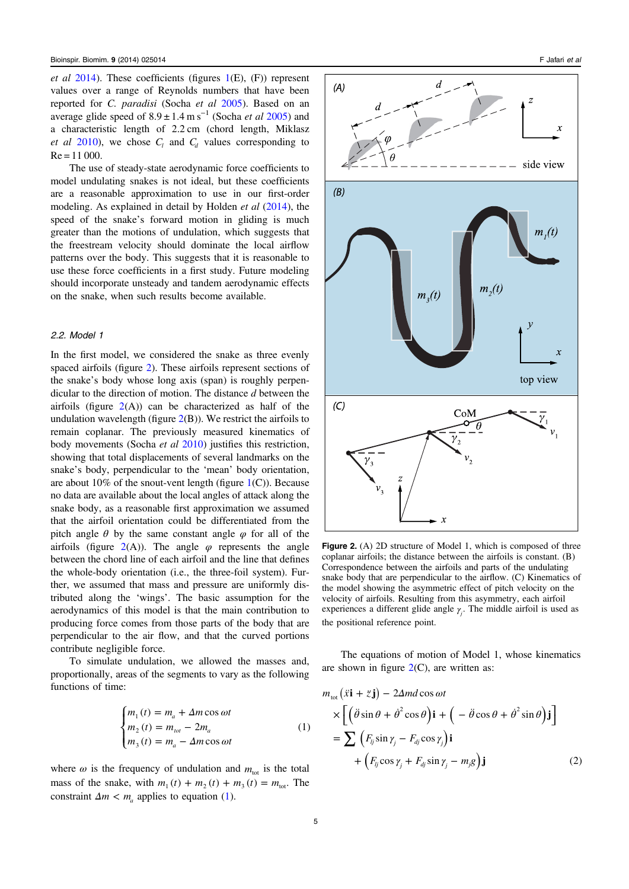<span id="page-5-0"></span>et al  $2014$ ). These coefficients (figures  $1(E)$  $1(E)$ , (F)) represent values over a range of Reynolds numbers that have been reported for C. paradisi (Socha et al [2005](#page-15-0)). Based on an average glide speed of  $8.9 \pm 1.4$  m s<sup>-1</sup> (Socha *et al* [2005](#page-15-0)) and a characteristic length of 2.2 cm (chord length, Miklasz *et al 2010*), we chose  $C_l$  and  $C_d$  values corresponding to  $Re = 11000$ .

The use of steady-state aerodynamic force coefficients to model undulating snakes is not ideal, but these coefficients are a reasonable approximation to use in our first-order modeling. As explained in detail by Holden *et al* [\(2014](#page-15-0)), the speed of the snake's forward motion in gliding is much greater than the motions of undulation, which suggests that the freestream velocity should dominate the local airflow patterns over the body. This suggests that it is reasonable to use these force coefficients in a first study. Future modeling should incorporate unsteady and tandem aerodynamic effects on the snake, when such results become available.

#### 2.2. Model 1

In the first model, we considered the snake as three evenly spaced airfoils (figure 2). These airfoils represent sections of the snake's body whose long axis (span) is roughly perpendicular to the direction of motion. The distance d between the airfoils (figure  $2(A)$ ) can be characterized as half of the undulation wavelength (figure  $2(B)$ ). We restrict the airfoils to remain coplanar. The previously measured kinematics of body movements (Socha et al [2010](#page-15-0)) justifies this restriction, showing that total displacements of several landmarks on the snake's body, perpendicular to the 'mean' body orientation, are about 10% of the snout-vent length (figure  $1(C)$  $1(C)$ ). Because no data are available about the local angles of attack along the snake body, as a reasonable first approximation we assumed that the airfoil orientation could be differentiated from the pitch angle  $\theta$  by the same constant angle  $\varphi$  for all of the airfoils (figure  $2(A)$ ). The angle  $\varphi$  represents the angle between the chord line of each airfoil and the line that defines the whole-body orientation (i.e., the three-foil system). Further, we assumed that mass and pressure are uniformly distributed along the 'wings'. The basic assumption for the aerodynamics of this model is that the main contribution to producing force comes from those parts of the body that are perpendicular to the air flow, and that the curved portions contribute negligible force.

To simulate undulation, we allowed the masses and, proportionally, areas of the segments to vary as the following functions of time:

$$
\begin{cases}\nm_1(t) = m_a + \Delta m \cos \omega t \\
m_2(t) = m_{\text{tot}} - 2m_a \\
m_3(t) = m_a - \Delta m \cos \omega t\n\end{cases} \tag{1}
$$

where  $\omega$  is the frequency of undulation and  $m_{tot}$  is the total mass of the snake, with  $m_1(t) + m_2(t) + m_3(t) = m_{\text{tot}}$ . The constraint  $\Delta m < m_a$  applies to equation (1).



Figure 2. (A) 2D structure of Model 1, which is composed of three coplanar airfoils; the distance between the airfoils is constant. (B) Correspondence between the airfoils and parts of the undulating snake body that are perpendicular to the airflow. (C) Kinematics of the model showing the asymmetric effect of pitch velocity on the velocity of airfoils. Resulting from this asymmetry, each airfoil experiences a different glide angle  $\gamma$ <sup>*j*</sup>. The middle airfoil is used as the positional reference point.

The equations of motion of Model 1, whose kinematics are shown in figure  $2(C)$ , are written as:

$$
m_{\text{tot}}(\ddot{x}\mathbf{i} + \ddot{z}\mathbf{j}) - 2\Delta m d \cos \omega t
$$
  
\n
$$
\times \left[ \left( \ddot{\theta} \sin \theta + \dot{\theta}^2 \cos \theta \right) \mathbf{i} + \left( -\ddot{\theta} \cos \theta + \dot{\theta}^2 \sin \theta \right) \mathbf{j} \right]
$$
  
\n
$$
= \sum \left( F_{ij} \sin \gamma_j - F_{dj} \cos \gamma_j \right) \mathbf{i}
$$
  
\n
$$
+ \left( F_{ij} \cos \gamma_j + F_{dj} \sin \gamma_j - m_j g \right) \mathbf{j}
$$
 (2)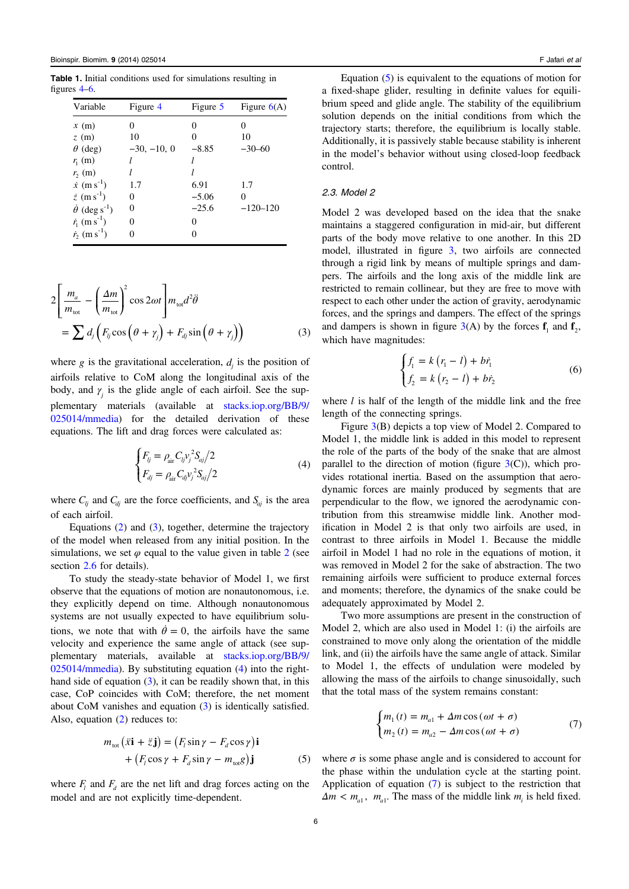<span id="page-6-0"></span>Table 1. Initial conditions used for simulations resulting in figures [4](#page-11-0)–[6](#page-12-0).

| Variable                              | Figure 4          | Figure 5 | Figure $6(A)$ |
|---------------------------------------|-------------------|----------|---------------|
| x(m)                                  |                   | 0        |               |
| z(m)                                  | 10                | 0        | 10            |
| $\theta$ (deg)                        | $-30, -10, 0$     | $-8.85$  | $-30-60$      |
| $r_{1}$ (m)                           |                   |          |               |
| $r_{2}$ (m)                           |                   |          |               |
| $\dot{x}$ (m s <sup>-1</sup> )        | 1.7               | 6.91     | 1.7           |
| $\dot{z}$ (m s <sup>-1</sup> )        | $\mathbf{\Omega}$ | $-5.06$  |               |
| $\dot{\theta}$ (deg s <sup>-1</sup> ) |                   | $-25.6$  | $-120-120$    |
| $\dot{r}_1$ (m s <sup>-1</sup> )      | 0                 | $\theta$ |               |
| $\dot{r}_2$ (m s <sup>-1</sup> )      |                   | 0        |               |

$$
2\left[\frac{m_a}{m_{\text{tot}}} - \left(\frac{\Delta m}{m_{\text{tot}}}\right)^2 \cos 2\omega t\right] m_{\text{tot}} d^2 \ddot{\theta}
$$
  
= 
$$
\sum d_j \left(F_{ij} \cos \left(\theta + \gamma_j\right) + F_{dj} \sin \left(\theta + \gamma_j\right)\right)
$$
(3)

where  $g$  is the gravitational acceleration,  $d_i$  is the position of airfoils relative to CoM along the longitudinal axis of the body, and  $\gamma$  is the glide angle of each airfoil. See the supplementary materials (available at [stacks.iop.org/BB/9/](http://stacks.iop.org/BB/9/025014/mmedia) [025014/mmedia](http://stacks.iop.org/BB/9/025014/mmedia)) for the detailed derivation of these equations. The lift and drag forces were calculated as:

$$
\begin{cases}\nF_{ij} = \rho_{air} C_{ij} v_j^2 S_{aj} / 2 \\
F_{dj} = \rho_{air} C_{dj} v_j^2 S_{aj} / 2\n\end{cases}
$$
\n(4)

where  $C_{ij}$  and  $C_{dj}$  are the force coefficients, and  $S_{aj}$  is the area of each airfoil.

Equations ([2\)](#page-5-0) and (3), together, determine the trajectory of the model when released from any initial position. In the simulations, we set  $\varphi$  equal to the value given in table [2](#page-10-0) (see section [2.6](#page-8-0) for details).

To study the steady-state behavior of Model 1, we first observe that the equations of motion are nonautonomous, i.e. they explicitly depend on time. Although nonautonomous systems are not usually expected to have equilibrium solutions, we note that with  $\dot{\theta} = 0$ , the airfoils have the same velocity and experience the same angle of attack (see supplementary materials, available at [stacks.iop.org/BB/9/](http://stacks.iop.org/BB/9/025014/mmedia) [025014/mmedia](http://stacks.iop.org/BB/9/025014/mmedia)). By substituting equation (4) into the righthand side of equation (3), it can be readily shown that, in this case, CoP coincides with CoM; therefore, the net moment about CoM vanishes and equation (3) is identically satisfied. Also, equation ([2\)](#page-5-0) reduces to:

$$
m_{\text{tot}}(\ddot{x}\mathbf{i} + \ddot{z}\mathbf{j}) = (F_l \sin \gamma - F_d \cos \gamma)\mathbf{i}
$$
  
+ 
$$
(F_l \cos \gamma + F_d \sin \gamma - m_{\text{tot}}g)\mathbf{j}
$$
 (5)

where  $F_l$  and  $F_d$  are the net lift and drag forces acting on the model and are not explicitly time-dependent.

Equation (5) is equivalent to the equations of motion for a fixed-shape glider, resulting in definite values for equilibrium speed and glide angle. The stability of the equilibrium solution depends on the initial conditions from which the trajectory starts; therefore, the equilibrium is locally stable. Additionally, it is passively stable because stability is inherent in the model's behavior without using closed-loop feedback control.

# 2.3. Model 2

Model 2 was developed based on the idea that the snake maintains a staggered configuration in mid-air, but different parts of the body move relative to one another. In this 2D model, illustrated in figure [3,](#page-7-0) two airfoils are connected through a rigid link by means of multiple springs and dampers. The airfoils and the long axis of the middle link are restricted to remain collinear, but they are free to move with respect to each other under the action of gravity, aerodynamic forces, and the springs and dampers. The effect of the springs and dampers is shown in figure  $3(A)$  $3(A)$  by the forces  $f_1$  and  $f_2$ , which have magnitudes:

$$
\begin{cases} f_1 = k (r_1 - l) + b \dot{r}_1 \\ f_2 = k (r_2 - l) + b \dot{r}_2 \end{cases}
$$
(6)

where *l* is half of the length of the middle link and the free length of the connecting springs.

Figure [3](#page-7-0)(B) depicts a top view of Model 2. Compared to Model 1, the middle link is added in this model to represent the role of the parts of the body of the snake that are almost parallel to the direction of motion (figure  $3(C)$  $3(C)$ ), which provides rotational inertia. Based on the assumption that aerodynamic forces are mainly produced by segments that are perpendicular to the flow, we ignored the aerodynamic contribution from this streamwise middle link. Another modification in Model 2 is that only two airfoils are used, in contrast to three airfoils in Model 1. Because the middle airfoil in Model 1 had no role in the equations of motion, it was removed in Model 2 for the sake of abstraction. The two remaining airfoils were sufficient to produce external forces and moments; therefore, the dynamics of the snake could be adequately approximated by Model 2.

Two more assumptions are present in the construction of Model 2, which are also used in Model 1: (i) the airfoils are constrained to move only along the orientation of the middle link, and (ii) the airfoils have the same angle of attack. Similar to Model 1, the effects of undulation were modeled by allowing the mass of the airfoils to change sinusoidally, such that the total mass of the system remains constant:

$$
\begin{cases} m_1(t) = m_{a1} + \Delta m \cos(\omega t + \sigma) \\ m_2(t) = m_{a2} - \Delta m \cos(\omega t + \sigma) \end{cases} \tag{7}
$$

where  $\sigma$  is some phase angle and is considered to account for the phase within the undulation cycle at the starting point. Application of equation (7) is subject to the restriction that  $\Delta m < m_{a1}$ ,  $m_{a1}$ . The mass of the middle link  $m_i$  is held fixed.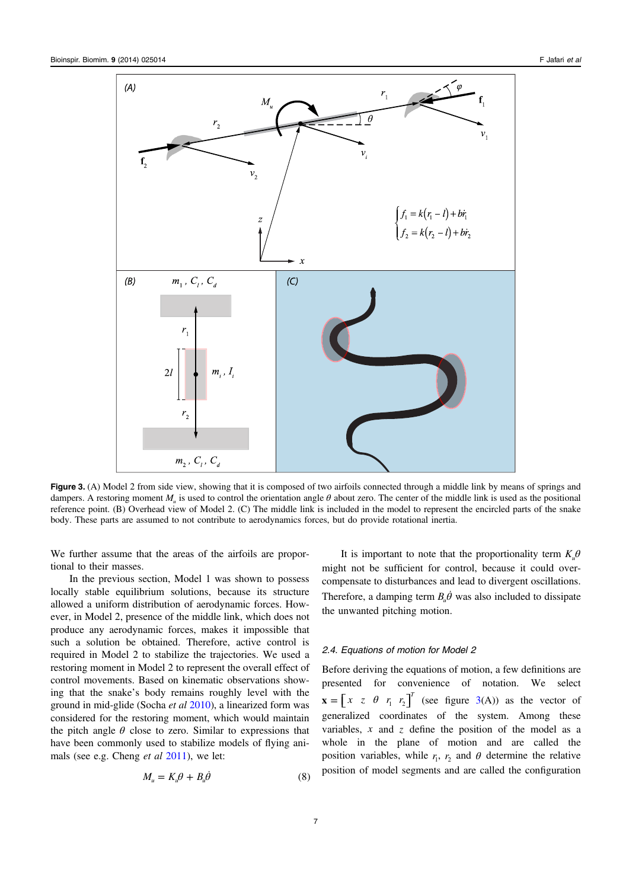<span id="page-7-0"></span>

Figure 3. (A) Model 2 from side view, showing that it is composed of two airfoils connected through a middle link by means of springs and dampers. A restoring moment *Mu* is used to control the orientation angle *θ* about zero. The center of the middle link is used as the positional reference point. (B) Overhead view of Model 2. (C) The middle link is included in the model to represent the encircled parts of the snake body. These parts are assumed to not contribute to aerodynamics forces, but do provide rotational inertia.

We further assume that the areas of the airfoils are proportional to their masses.

In the previous section, Model 1 was shown to possess locally stable equilibrium solutions, because its structure allowed a uniform distribution of aerodynamic forces. However, in Model 2, presence of the middle link, which does not produce any aerodynamic forces, makes it impossible that such a solution be obtained. Therefore, active control is required in Model 2 to stabilize the trajectories. We used a restoring moment in Model 2 to represent the overall effect of control movements. Based on kinematic observations showing that the snake's body remains roughly level with the ground in mid-glide (Socha et al [2010](#page-15-0)), a linearized form was considered for the restoring moment, which would maintain the pitch angle  $\theta$  close to zero. Similar to expressions that have been commonly used to stabilize models of flying animals (see e.g. Cheng *et al* [2011\)](#page-15-0), we let:

$$
M_u = K_u \theta + B_u \dot{\theta} \tag{8}
$$

It is important to note that the proportionality term  $K_{\mu}$  $\theta$ might not be sufficient for control, because it could overcompensate to disturbances and lead to divergent oscillations. Therefore, a damping term  $B_{\nu} \dot{\theta}$  was also included to dissipate the unwanted pitching motion.

# 2.4. Equations of motion for Model 2

Before deriving the equations of motion, a few definitions are presented for convenience of notation. We select  $\mathbf{x} = \begin{bmatrix} x & z & \theta & r_1 & r_2 \end{bmatrix}^T$  (see figure 3(A)) as the vector of generalized coordinates of the system. Among these variables, *x* and *z* define the position of the model as a whole in the plane of motion and are called the position variables, while  $r_1$ ,  $r_2$  and  $\theta$  determine the relative position of model segments and are called the configuration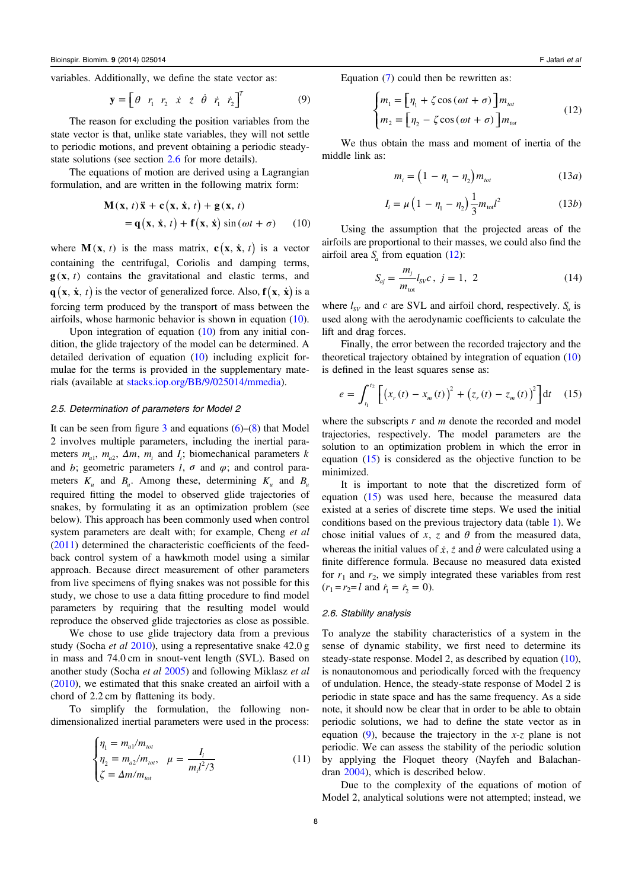<span id="page-8-0"></span>variables. Additionally, we define the state vector as:

$$
\mathbf{y} = \begin{bmatrix} \theta & r_1 & r_2 & \dot{x} & \dot{z} & \dot{\theta} & \dot{r}_1 & \dot{r}_2 \end{bmatrix}^T \tag{9}
$$

The reason for excluding the position variables from the state vector is that, unlike state variables, they will not settle to periodic motions, and prevent obtaining a periodic steadystate solutions (see section 2.6 for more details).

The equations of motion are derived using a Lagrangian formulation, and are written in the following matrix form:

$$
\mathbf{M}(\mathbf{x}, t)\ddot{\mathbf{x}} + \mathbf{c}(\mathbf{x}, \dot{\mathbf{x}}, t) + \mathbf{g}(\mathbf{x}, t)
$$
  
=  $\mathbf{q}(\mathbf{x}, \dot{\mathbf{x}}, t) + \mathbf{f}(\mathbf{x}, \dot{\mathbf{x}}) \sin(\omega t + \sigma)$  (10)

where  $M(x, t)$  is the mass matrix,  $c(x, \dot{x}, t)$  is a vector containing the centrifugal, Coriolis and damping terms,  $g(x, t)$  contains the gravitational and elastic terms, and  $\mathbf{q}(\mathbf{x}, \dot{\mathbf{x}}, t)$  is the vector of generalized force. Also,  $\mathbf{f}(\mathbf{x}, \dot{\mathbf{x}})$  is a forcing term produced by the transport of mass between the airfoils, whose harmonic behavior is shown in equation (10).

Upon integration of equation (10) from any initial condition, the glide trajectory of the model can be determined. A detailed derivation of equation (10) including explicit formulae for the terms is provided in the supplementary materials (available at [stacks.iop.org/BB/9/025014/mmedia\)](http://stacks.iop.org/BB/9/025014/mmedia).

#### 2.5. Determination of parameters for Model 2

It can be seen from figure [3](#page-7-0) and equations  $(6)$  $(6)$ – $(8)$  $(8)$  that Model 2 involves multiple parameters, including the inertial parameters  $m_{a1}$ ,  $m_{a2}$ ,  $\Delta m$ ,  $m_i$  and  $I_i$ ; biomechanical parameters *k* and *b*; geometric parameters *l*,  $\sigma$  and  $\varphi$ ; and control parameters  $K_u$  and  $B_u$ . Among these, determining  $K_u$  and  $B_u$ required fitting the model to observed glide trajectories of snakes, by formulating it as an optimization problem (see below). This approach has been commonly used when control system parameters are dealt with; for example, Cheng et al [\(2011\)](#page-15-0) determined the characteristic coefficients of the feedback control system of a hawkmoth model using a similar approach. Because direct measurement of other parameters from live specimens of flying snakes was not possible for this study, we chose to use a data fitting procedure to find model parameters by requiring that the resulting model would reproduce the observed glide trajectories as close as possible.

We chose to use glide trajectory data from a previous study (Socha *et al* [2010\)](#page-15-0), using a representative snake 42.0 g in mass and 74.0 cm in snout-vent length (SVL). Based on another study (Socha et al [2005\)](#page-15-0) and following Miklasz et al [\(2010\)](#page-15-0), we estimated that this snake created an airfoil with a chord of 2.2 cm by flattening its body.

To simplify the formulation, the following nondimensionalized inertial parameters were used in the process:

$$
\begin{cases}\n\eta_1 = m_{a1}/m_{tot} \\
\eta_2 = m_{a2}/m_{tot}, \quad \mu = \frac{I_i}{m_i l^2 / 3} \\
\zeta = \Delta m / m_{tot}\n\end{cases}
$$
\n(11)

Equation [\(7](#page-6-0)) could then be rewritten as:

$$
\begin{cases} m_1 = \left[ \eta_1 + \zeta \cos(\omega t + \sigma) \right] m_{tot} \\ m_2 = \left[ \eta_2 - \zeta \cos(\omega t + \sigma) \right] m_{tot} \end{cases}
$$
 (12)

We thus obtain the mass and moment of inertia of the middle link as:

$$
m_i = \left(1 - \eta_1 - \eta_2\right) m_{\text{tot}} \tag{13a}
$$

$$
I_{i} = \mu \left( 1 - \eta_{1} - \eta_{2} \right) \frac{1}{3} m_{\text{tot}} l^{2}
$$
 (13*b*)

Using the assumption that the projected areas of the airfoils are proportional to their masses, we could also find the airfoil area  $S<sub>a</sub>$  from equation (12):

$$
S_{aj} = \frac{m_j}{m_{\text{tot}}} l_{SV} c, \ j = 1, \ 2
$$
 (14)

where  $l_{SV}$  and  $c$  are SVL and airfoil chord, respectively.  $S_a$  is used along with the aerodynamic coefficients to calculate the lift and drag forces.

Finally, the error between the recorded trajectory and the theoretical trajectory obtained by integration of equation (10) is defined in the least squares sense as:

$$
e = \int_{t_1}^{t_2} \left[ \left( x_r(t) - x_m(t) \right)^2 + \left( z_r(t) - z_m(t) \right)^2 \right] dt \quad (15)
$$

where the subscripts *r* and *m* denote the recorded and model trajectories, respectively. The model parameters are the solution to an optimization problem in which the error in equation (15) is considered as the objective function to be minimized.

It is important to note that the discretized form of equation (15) was used here, because the measured data existed at a series of discrete time steps. We used the initial conditions based on the previous trajectory data (table [1\)](#page-6-0). We chose initial values of  $x$ ,  $z$  and  $\theta$  from the measured data, whereas the initial values of  $\dot{x}$ ,  $\dot{z}$  and  $\dot{\theta}$  were calculated using a finite difference formula. Because no measured data existed for  $r_1$  and  $r_2$ , we simply integrated these variables from rest  $(r_1 = r_2 = l \text{ and } \dot{r}_1 = \dot{r}_2 = 0).$ 

#### 2.6. Stability analysis

To analyze the stability characteristics of a system in the sense of dynamic stability, we first need to determine its steady-state response. Model 2, as described by equation (10), is nonautonomous and periodically forced with the frequency of undulation. Hence, the steady-state response of Model 2 is periodic in state space and has the same frequency. As a side note, it should now be clear that in order to be able to obtain periodic solutions, we had to define the state vector as in equation  $(9)$ , because the trajectory in the x-z plane is not periodic. We can assess the stability of the periodic solution by applying the Floquet theory (Nayfeh and Balachandran [2004\)](#page-15-0), which is described below.

Due to the complexity of the equations of motion of Model 2, analytical solutions were not attempted; instead, we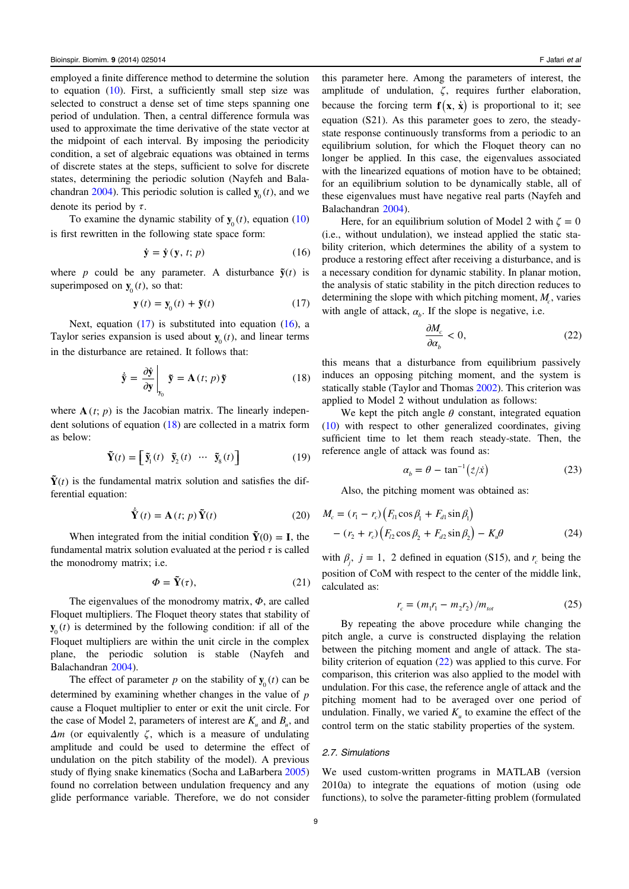employed a finite difference method to determine the solution to equation  $(10)$  $(10)$ . First, a sufficiently small step size was selected to construct a dense set of time steps spanning one period of undulation. Then, a central difference formula was used to approximate the time derivative of the state vector at the midpoint of each interval. By imposing the periodicity condition, a set of algebraic equations was obtained in terms of discrete states at the steps, sufficient to solve for discrete states, determining the periodic solution (Nayfeh and Bala-chandran [2004\)](#page-15-0). This periodic solution is called  $\mathbf{y}_0(t)$ , and we denote its period by *τ*.

To examine the dynamic stability of  $\mathbf{y}_{0}(t)$ , equation ([10\)](#page-8-0) is first rewritten in the following state space form:

$$
\dot{\mathbf{y}} = \dot{\mathbf{y}} \left( \mathbf{y}, t; p \right) \tag{16}
$$

where *p* could be any parameter. A disturbance  $\tilde{\mathbf{y}}(t)$  is superimposed on  $\mathbf{y}_{0}(t)$ , so that:

$$
\mathbf{y}(t) = \mathbf{y}_0(t) + \tilde{\mathbf{y}}(t) \tag{17}
$$

Next, equation  $(17)$  is substituted into equation  $(16)$ , a Taylor series expansion is used about  $\mathbf{y}_0(t)$ , and linear terms in the disturbance are retained. It follows that:

$$
\dot{\tilde{\mathbf{y}}} = \frac{\partial \dot{\mathbf{y}}}{\partial \mathbf{y}} \bigg|_{\mathbf{y}_0} \tilde{\mathbf{y}} = \mathbf{A}(t; p) \tilde{\mathbf{y}} \tag{18}
$$

where  $A(t; p)$  is the Jacobian matrix. The linearly independent solutions of equation (18) are collected in a matrix form as below:

$$
\tilde{\mathbf{Y}}(t) = \begin{bmatrix} \tilde{\mathbf{y}}_1(t) & \tilde{\mathbf{y}}_2(t) & \cdots & \tilde{\mathbf{y}}_8(t) \end{bmatrix}
$$
 (19)

 $\tilde{\mathbf{Y}}(t)$  is the fundamental matrix solution and satisfies the differential equation:

$$
\dot{\tilde{\mathbf{Y}}}(t) = \mathbf{A}(t; p) \, \tilde{\mathbf{Y}}(t) \tag{20}
$$

When integrated from the initial condition  $\tilde{\mathbf{Y}}(0) = \mathbf{I}$ , the fundamental matrix solution evaluated at the period  $\tau$  is called the monodromy matrix; i.e.

$$
\Phi = \tilde{\mathbf{Y}}(\tau),\tag{21}
$$

The eigenvalues of the monodromy matrix, *Φ*, are called Floquet multipliers. The Floquet theory states that stability of  $\mathbf{y}_{0}(t)$  is determined by the following condition: if all of the Floquet multipliers are within the unit circle in the complex plane, the periodic solution is stable (Nayfeh and Balachandran [2004](#page-15-0)).

The effect of parameter *p* on the stability of  $\mathbf{y}_0(t)$  can be determined by examining whether changes in the value of *p* cause a Floquet multiplier to enter or exit the unit circle. For the case of Model 2, parameters of interest are  $K_u$  and  $B_u$ , and *Δm* (or equivalently *ζ*, which is a measure of undulating amplitude and could be used to determine the effect of undulation on the pitch stability of the model). A previous study of flying snake kinematics (Socha and LaBarbera [2005\)](#page-15-0) found no correlation between undulation frequency and any glide performance variable. Therefore, we do not consider this parameter here. Among the parameters of interest, the amplitude of undulation, *ζ*, requires further elaboration, because the forcing term  $f(x, \dot{x})$  is proportional to it; see equation (S21). As this parameter goes to zero, the steadystate response continuously transforms from a periodic to an equilibrium solution, for which the Floquet theory can no longer be applied. In this case, the eigenvalues associated with the linearized equations of motion have to be obtained; for an equilibrium solution to be dynamically stable, all of these eigenvalues must have negative real parts (Nayfeh and

Balachandran [2004](#page-15-0)). Here, for an equilibrium solution of Model 2 with  $\zeta = 0$ (i.e., without undulation), we instead applied the static stability criterion, which determines the ability of a system to produce a restoring effect after receiving a disturbance, and is a necessary condition for dynamic stability. In planar motion, the analysis of static stability in the pitch direction reduces to determining the slope with which pitching moment,  $M_c$ , varies with angle of attack,  $\alpha_b$ . If the slope is negative, i.e.

$$
\frac{\partial M_c}{\partial \alpha_b} < 0,\tag{22}
$$

this means that a disturbance from equilibrium passively induces an opposing pitching moment, and the system is statically stable (Taylor and Thomas [2002\)](#page-16-0). This criterion was applied to Model 2 without undulation as follows:

We kept the pitch angle  $\theta$  constant, integrated equation [\(10](#page-8-0)) with respect to other generalized coordinates, giving sufficient time to let them reach steady-state. Then, the reference angle of attack was found as:

$$
\alpha_b = \theta - \tan^{-1}(\dot{z}/\dot{x}) \tag{23}
$$

Also, the pitching moment was obtained as:

$$
M_c = (r_1 - r_c) (F_{l1} \cos \beta_1 + F_{d1} \sin \beta_1)
$$
  
-  $(r_2 + r_c) (F_{l2} \cos \beta_2 + F_{d2} \sin \beta_2) - K_d \theta$  (24)

with  $\beta_i$ ,  $j = 1$ , 2 defined in equation (S15), and  $r_c$  being the position of CoM with respect to the center of the middle link, calculated as:

$$
r_c = (m_1 r_1 - m_2 r_2) / m_{tot} \tag{25}
$$

By repeating the above procedure while changing the pitch angle, a curve is constructed displaying the relation between the pitching moment and angle of attack. The stability criterion of equation (22) was applied to this curve. For comparison, this criterion was also applied to the model with undulation. For this case, the reference angle of attack and the pitching moment had to be averaged over one period of undulation. Finally, we varied  $K<sub>u</sub>$  to examine the effect of the control term on the static stability properties of the system.

#### 2.7. Simulations

We used custom-written programs in MATLAB (version 2010a) to integrate the equations of motion (using ode functions), to solve the parameter-fitting problem (formulated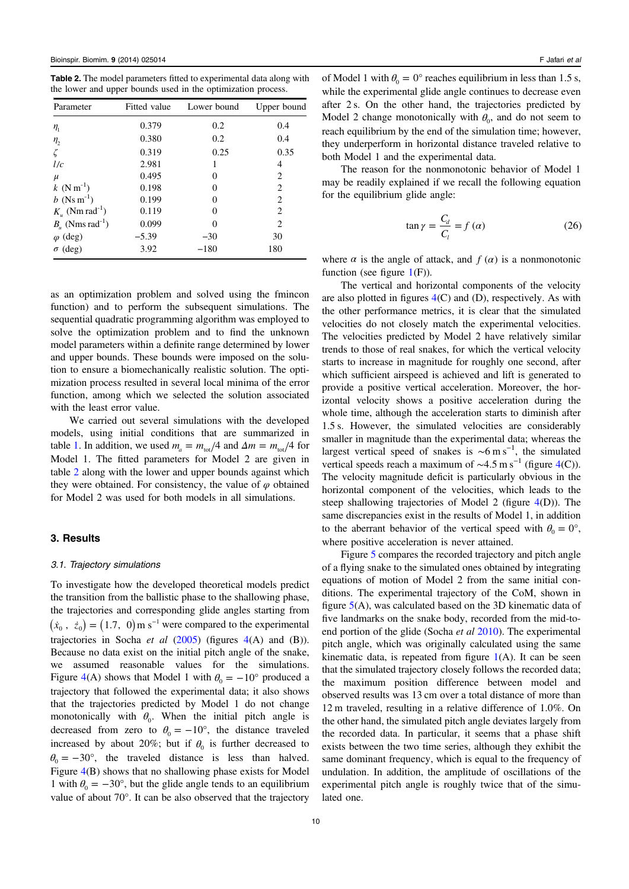<span id="page-10-0"></span>Table 2. The model parameters fitted to experimental data along with the lower and upper bounds used in the optimization process.

| Parameter                      | Fitted value | Lower bound | Upper bound |  |
|--------------------------------|--------------|-------------|-------------|--|
| $\eta_{1}$                     | 0.379        | 0.2         | 0.4         |  |
| $n_{2}$                        | 0.380        | 0.2         | 0.4         |  |
|                                | 0.319        | 0.25        | 0.35        |  |
| l/c                            | 2.981        | 1           | 4           |  |
| $\mu$                          | 0.495        | $\theta$    | 2           |  |
| $k$ (N m <sup>-1</sup> )       | 0.198        | $\theta$    | 2           |  |
| $b$ (Ns m <sup>-1</sup> )      | 0.199        | O           | 2           |  |
| $K_u$ (Nm rad <sup>-1</sup> )  | 0.119        | $\theta$    | 2           |  |
| $B_u$ (Nms rad <sup>-1</sup> ) | 0.099        | 0           | 2           |  |
| $\varphi$ (deg)                | $-5.39$      | $-30$       | 30          |  |
| $\sigma$ (deg)                 | 3.92         | $-180$      | 180         |  |

as an optimization problem and solved using the fmincon function) and to perform the subsequent simulations. The sequential quadratic programming algorithm was employed to solve the optimization problem and to find the unknown model parameters within a definite range determined by lower and upper bounds. These bounds were imposed on the solution to ensure a biomechanically realistic solution. The optimization process resulted in several local minima of the error function, among which we selected the solution associated with the least error value.

We carried out several simulations with the developed models, using initial conditions that are summarized in table [1.](#page-6-0) In addition, we used  $m_a = m_{tot}/4$  and  $\Delta m = m_{tot}/4$  for Model 1. The fitted parameters for Model 2 are given in table 2 along with the lower and upper bounds against which they were obtained. For consistency, the value of  $\varphi$  obtained for Model 2 was used for both models in all simulations.

#### 3. Results

#### 3.1. Trajectory simulations

To investigate how the developed theoretical models predict the transition from the ballistic phase to the shallowing phase, the trajectories and corresponding glide angles starting from  $(\dot{x}_0, \dot{z}_0) = (1.7, 0) \,\text{m s}^{-1}$  were compared to the experimental trajectories in Socha *et al*  $(2005)$  $(2005)$  (figures  $4(A)$  $4(A)$  and  $(B)$ ). Because no data exist on the initial pitch angle of the snake, we assumed reasonable values for the simulations. Figure [4\(](#page-11-0)A) shows that Model 1 with  $\theta_0 = -10^{\circ}$  produced a trajectory that followed the experimental data; it also shows that the trajectories predicted by Model 1 do not change monotonically with  $\theta_0$ . When the initial pitch angle is decreased from zero to  $\theta_0 = -10^\circ$ , the distance traveled increased by about 20%; but if  $\theta_0$  is further decreased to  $\theta_0 = -30^\circ$ , the traveled distance is less than halved. Figure [4](#page-11-0)(B) shows that no shallowing phase exists for Model 1 with  $\theta_0 = -30^\circ$ , but the glide angle tends to an equilibrium value of about 70°. It can be also observed that the trajectory

of Model 1 with  $\theta_0 = 0^\circ$  reaches equilibrium in less than 1.5 s, while the experimental glide angle continues to decrease even after 2 s. On the other hand, the trajectories predicted by Model 2 change monotonically with  $\theta_0$ , and do not seem to reach equilibrium by the end of the simulation time; however, they underperform in horizontal distance traveled relative to both Model 1 and the experimental data.

The reason for the nonmonotonic behavior of Model 1 may be readily explained if we recall the following equation for the equilibrium glide angle:

$$
\tan \gamma = \frac{C_d}{C_l} = f(\alpha) \tag{26}
$$

where  $\alpha$  is the angle of attack, and  $f(\alpha)$  is a nonmonotonic function (see figure  $1(F)$  $1(F)$ ).

The vertical and horizontal components of the velocity are also plotted in figures  $4(C)$  $4(C)$  and  $(D)$ , respectively. As with the other performance metrics, it is clear that the simulated velocities do not closely match the experimental velocities. The velocities predicted by Model 2 have relatively similar trends to those of real snakes, for which the vertical velocity starts to increase in magnitude for roughly one second, after which sufficient airspeed is achieved and lift is generated to provide a positive vertical acceleration. Moreover, the horizontal velocity shows a positive acceleration during the whole time, although the acceleration starts to diminish after 1.5 s. However, the simulated velocities are considerably smaller in magnitude than the experimental data; whereas the largest vertical speed of snakes is  $\sim 6 \text{ m s}^{-1}$ , the simulated vertical speeds reach a maximum of  $\sim$ [4](#page-11-0).5 m s<sup>-1</sup> (figure 4(C)). The velocity magnitude deficit is particularly obvious in the horizontal component of the velocities, which leads to the steep shallowing trajectories of Model 2 (figure [4](#page-11-0)(D)). The same discrepancies exist in the results of Model 1, in addition to the aberrant behavior of the vertical speed with  $\theta_0 = 0^\circ$ , where positive acceleration is never attained.

Figure [5](#page-12-0) compares the recorded trajectory and pitch angle of a flying snake to the simulated ones obtained by integrating equations of motion of Model 2 from the same initial conditions. The experimental trajectory of the CoM, shown in figure [5](#page-12-0)(A), was calculated based on the 3D kinematic data of five landmarks on the snake body, recorded from the mid-toend portion of the glide (Socha *et al* [2010\)](#page-15-0). The experimental pitch angle, which was originally calculated using the same kinematic data, is repeated from figure  $1(A)$  $1(A)$ . It can be seen that the simulated trajectory closely follows the recorded data; the maximum position difference between model and observed results was 13 cm over a total distance of more than 12 m traveled, resulting in a relative difference of 1.0%. On the other hand, the simulated pitch angle deviates largely from the recorded data. In particular, it seems that a phase shift exists between the two time series, although they exhibit the same dominant frequency, which is equal to the frequency of undulation. In addition, the amplitude of oscillations of the experimental pitch angle is roughly twice that of the simulated one.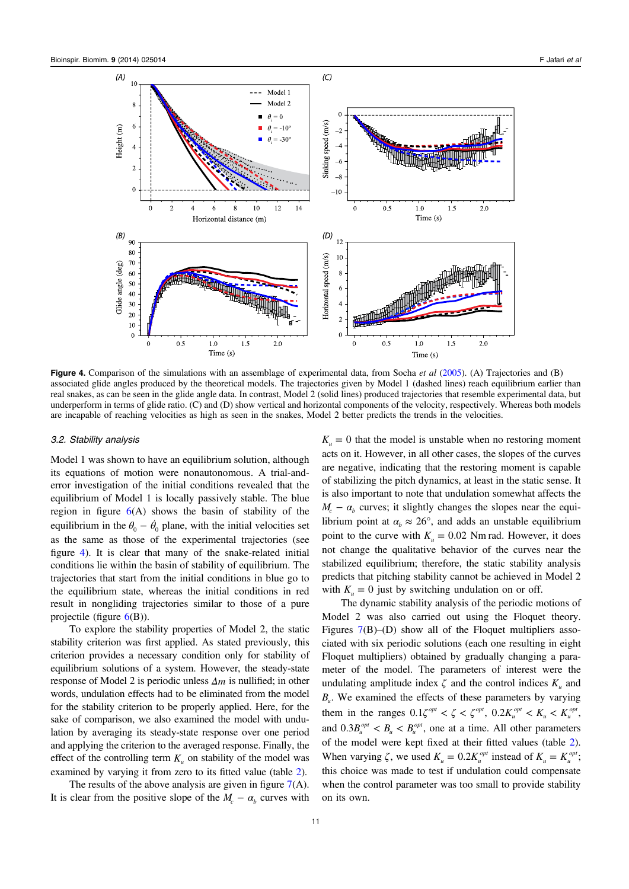<span id="page-11-0"></span>

Figure 4. Comparison of the simulations with an assemblage of experimental data, from Socha *et al* [\(2005\)](#page-15-0). (A) Trajectories and (B) associated glide angles produced by the theoretical models. The trajectories given by Model 1 (dashed lines) reach equilibrium earlier than real snakes, as can be seen in the glide angle data. In contrast, Model 2 (solid lines) produced trajectories that resemble experimental data, but underperform in terms of glide ratio. (C) and (D) show vertical and horizontal components of the velocity, respectively. Whereas both models are incapable of reaching velocities as high as seen in the snakes, Model 2 better predicts the trends in the velocities.

#### 3.2. Stability analysis

Model 1 was shown to have an equilibrium solution, although its equations of motion were nonautonomous. A trial-anderror investigation of the initial conditions revealed that the equilibrium of Model 1 is locally passively stable. The blue region in figure  $6(A)$  $6(A)$  shows the basin of stability of the equilibrium in the  $\theta_0 - \dot{\theta}_0$  plane, with the initial velocities set as the same as those of the experimental trajectories (see figure 4). It is clear that many of the snake-related initial conditions lie within the basin of stability of equilibrium. The trajectories that start from the initial conditions in blue go to the equilibrium state, whereas the initial conditions in red result in nongliding trajectories similar to those of a pure projectile (figure [6\(](#page-12-0)B)).

To explore the stability properties of Model 2, the static stability criterion was first applied. As stated previously, this criterion provides a necessary condition only for stability of equilibrium solutions of a system. However, the steady-state response of Model 2 is periodic unless *Δm* is nullified; in other words, undulation effects had to be eliminated from the model for the stability criterion to be properly applied. Here, for the sake of comparison, we also examined the model with undulation by averaging its steady-state response over one period and applying the criterion to the averaged response. Finally, the effect of the controlling term  $K_{\mu}$  on stability of the model was examined by varying it from zero to its fitted value (table [2](#page-10-0)).

The results of the above analysis are given in figure  $7(A)$  $7(A)$ . It is clear from the positive slope of the  $M_c - \alpha_b$  curves with  $K_u = 0$  that the model is unstable when no restoring moment acts on it. However, in all other cases, the slopes of the curves are negative, indicating that the restoring moment is capable of stabilizing the pitch dynamics, at least in the static sense. It is also important to note that undulation somewhat affects the  $M_c - \alpha_b$  curves; it slightly changes the slopes near the equilibrium point at  $\alpha_b \approx 26^\circ$ , and adds an unstable equilibrium point to the curve with  $K_u = 0.02$  *Nm rad.* However, it does not change the qualitative behavior of the curves near the stabilized equilibrium; therefore, the static stability analysis predicts that pitching stability cannot be achieved in Model 2 with  $K_u = 0$  just by switching undulation on or off.

The dynamic stability analysis of the periodic motions of Model 2 was also carried out using the Floquet theory. Figures [7\(](#page-13-0)B)–(D) show all of the Floquet multipliers associated with six periodic solutions (each one resulting in eight Floquet multipliers) obtained by gradually changing a parameter of the model. The parameters of interest were the undulating amplitude index  $\zeta$  and the control indices  $K_u$  and  $B_{\mu}$ . We examined the effects of these parameters by varying them in the ranges  $0.1\zeta^{opt} < \zeta < \zeta^{opt}$ ,  $0.2K_u^{opt} < K_u < K_u^{opt}$ , and  $0.3B_u^{opt} < B_u < B_u^{opt}$ , one at a time. All other parameters of the model were kept fixed at their fitted values (table [2](#page-10-0)). When varying  $\zeta$ , we used  $K_u = 0.2K_u^{opt}$  instead of  $K_u = K_u^{opt}$ ; this choice was made to test if undulation could compensate when the control parameter was too small to provide stability on its own.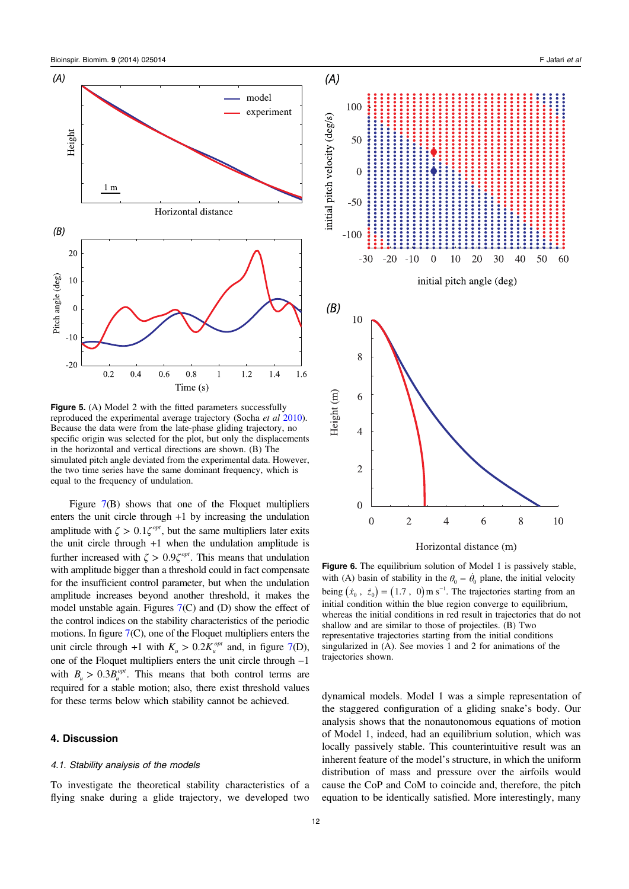<span id="page-12-0"></span>

Figure 5. (A) Model 2 with the fitted parameters successfully reproduced the experimental average trajectory (Socha et al [2010](#page-15-0)). Because the data were from the late-phase gliding trajectory, no specific origin was selected for the plot, but only the displacements in the horizontal and vertical directions are shown. (B) The simulated pitch angle deviated from the experimental data. However, the two time series have the same dominant frequency, which is equal to the frequency of undulation.

Figure [7\(](#page-13-0)B) shows that one of the Floquet multipliers enters the unit circle through +1 by increasing the undulation amplitude with  $\zeta > 0.1\zeta^{opt}$ , but the same multipliers later exits the unit circle through +1 when the undulation amplitude is further increased with  $\zeta > 0.9\zeta^{opt}$ . This means that undulation with amplitude bigger than a threshold could in fact compensate for the insufficient control parameter, but when the undulation amplitude increases beyond another threshold, it makes the model unstable again. Figures [7\(](#page-13-0)C) and (D) show the effect of the control indices on the stability characteristics of the periodic motions. In figure [7](#page-13-0)(C), one of the Floquet multipliers enters the unit circle through +1 with  $K_u > 0.2K_u^{opt}$  and, in figure [7](#page-13-0)(D), one of the Floquet multipliers enters the unit circle through −1 with  $B_u > 0.3B_u^{opt}$ . This means that both control terms are required for a stable motion; also, there exist threshold values for these terms below which stability cannot be achieved.

# 4. Discussion

#### 4.1. Stability analysis of the models

To investigate the theoretical stability characteristics of a flying snake during a glide trajectory, we developed two



Figure 6. The equilibrium solution of Model 1 is passively stable, with (A) basin of stability in the  $\theta_0 - \dot{\theta}_0$  plane, the initial velocity being  $(\dot{x}_0, \dot{z}_0) = (1.7, 0) \,\text{m s}^{-1}$ . The trajectories starting from an initial condition within the blue region converge to equilibrium, whereas the initial conditions in red result in trajectories that do not shallow and are similar to those of projectiles. (B) Two representative trajectories starting from the initial conditions singularized in (A). See movies 1 and 2 for animations of the trajectories shown.

dynamical models. Model 1 was a simple representation of the staggered configuration of a gliding snake's body. Our analysis shows that the nonautonomous equations of motion of Model 1, indeed, had an equilibrium solution, which was locally passively stable. This counterintuitive result was an inherent feature of the model's structure, in which the uniform distribution of mass and pressure over the airfoils would cause the CoP and CoM to coincide and, therefore, the pitch equation to be identically satisfied. More interestingly, many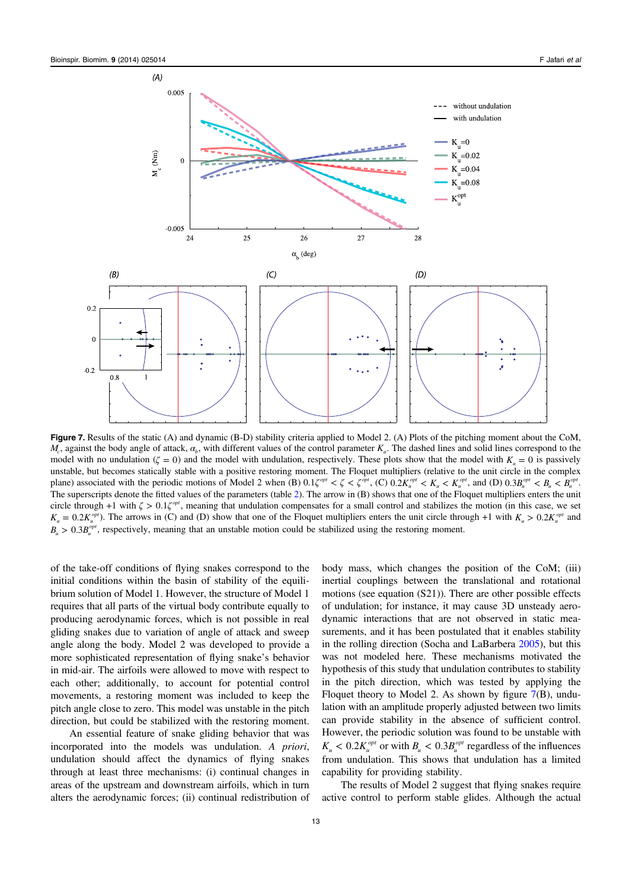<span id="page-13-0"></span>

Figure 7. Results of the static (A) and dynamic (B-D) stability criteria applied to Model 2. (A) Plots of the pitching moment about the CoM, *M<sub>c</sub>*, against the body angle of attack, *α<sub>b</sub>*, with different values of the control parameter *K<sub>u</sub>*. The dashed lines and solid lines correspond to the model with no undulation ( $\zeta = 0$ ) and the model with undulation, respectively. These plots show that the model with  $K_u = 0$  is passively unstable, but becomes statically stable with a positive restoring moment. The Floquet multipliers (relative to the unit circle in the complex plane) associated with the periodic motions of Model 2 when (B)  $0.1\zeta^{opt} < \zeta < \zeta^{opt}$ , (C)  $0.2K_u^{opt} < K_u < K_u^{opt}$ , and (D)  $0.3B_u^{opt} < B_u < B_u^{opt}$ . The superscripts denote the fitted values of the parameters (table [2\)](#page-10-0). The arrow in (B) shows that one of the Floquet multipliers enters the unit circle through +1 with  $\zeta > 0.1\zeta^{\text{opt}}$ , meaning that undulation compensates for a small control and stabilizes the motion (in this case, we set  $K_u = 0.2 K_u^{opt}$ ). The arrows in (C) and (D) show that one of the Floquet multipliers enters the unit circle through +1 with  $K_u > 0.2 K_u^{opt}$  and  $B_u > 0.3B_c^{opt}$ , respectively, meaning that an unstable motion could be stabilized using the restoring moment.

of the take-off conditions of flying snakes correspond to the initial conditions within the basin of stability of the equilibrium solution of Model 1. However, the structure of Model 1 requires that all parts of the virtual body contribute equally to producing aerodynamic forces, which is not possible in real gliding snakes due to variation of angle of attack and sweep angle along the body. Model 2 was developed to provide a more sophisticated representation of flying snake's behavior in mid-air. The airfoils were allowed to move with respect to each other; additionally, to account for potential control movements, a restoring moment was included to keep the pitch angle close to zero. This model was unstable in the pitch direction, but could be stabilized with the restoring moment.

An essential feature of snake gliding behavior that was incorporated into the models was undulation. A priori, undulation should affect the dynamics of flying snakes through at least three mechanisms: (i) continual changes in areas of the upstream and downstream airfoils, which in turn alters the aerodynamic forces; (ii) continual redistribution of body mass, which changes the position of the CoM; (iii) inertial couplings between the translational and rotational motions (see equation (S21)). There are other possible effects of undulation; for instance, it may cause 3D unsteady aerodynamic interactions that are not observed in static measurements, and it has been postulated that it enables stability in the rolling direction (Socha and LaBarbera [2005](#page-15-0)), but this was not modeled here. These mechanisms motivated the hypothesis of this study that undulation contributes to stability in the pitch direction, which was tested by applying the Floquet theory to Model 2. As shown by figure 7(B), undulation with an amplitude properly adjusted between two limits can provide stability in the absence of sufficient control. However, the periodic solution was found to be unstable with  $K_u < 0.2 K_u^{opt}$  or with  $B_u < 0.3 B_u^{opt}$  regardless of the influences from undulation. This shows that undulation has a limited capability for providing stability.

The results of Model 2 suggest that flying snakes require active control to perform stable glides. Although the actual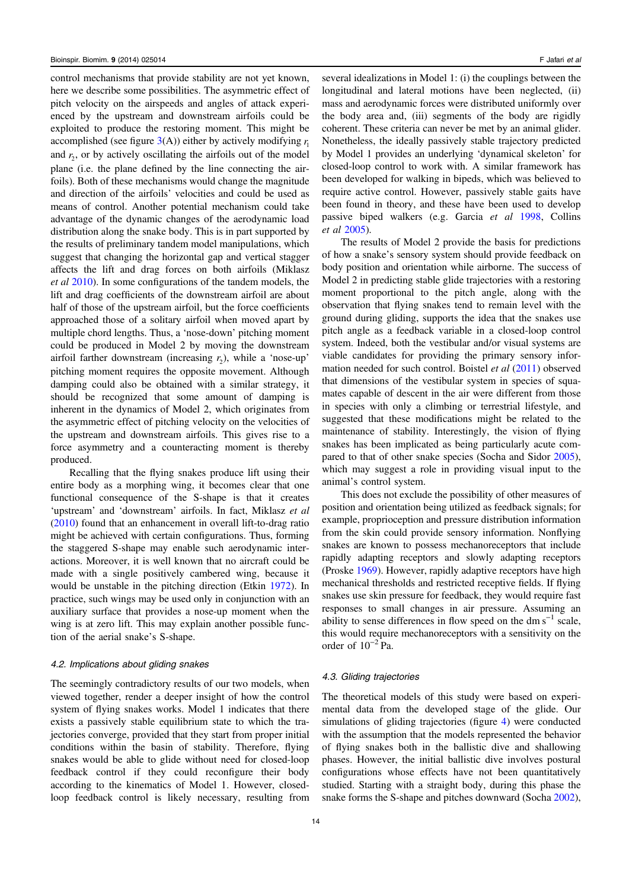control mechanisms that provide stability are not yet known, here we describe some possibilities. The asymmetric effect of pitch velocity on the airspeeds and angles of attack experienced by the upstream and downstream airfoils could be exploited to produce the restoring moment. This might be accomplished (see figure  $3(A)$  $3(A)$ ) either by actively modifying  $r_1$ and  $r<sub>2</sub>$ , or by actively oscillating the airfoils out of the model plane (i.e. the plane defined by the line connecting the airfoils). Both of these mechanisms would change the magnitude and direction of the airfoils' velocities and could be used as means of control. Another potential mechanism could take advantage of the dynamic changes of the aerodynamic load distribution along the snake body. This is in part supported by the results of preliminary tandem model manipulations, which suggest that changing the horizontal gap and vertical stagger affects the lift and drag forces on both airfoils (Miklasz et al [2010\)](#page-15-0). In some configurations of the tandem models, the lift and drag coefficients of the downstream airfoil are about half of those of the upstream airfoil, but the force coefficients approached those of a solitary airfoil when moved apart by multiple chord lengths. Thus, a 'nose-down' pitching moment could be produced in Model 2 by moving the downstream airfoil farther downstream (increasing  $r<sub>2</sub>$ ), while a 'nose-up' pitching moment requires the opposite movement. Although damping could also be obtained with a similar strategy, it should be recognized that some amount of damping is inherent in the dynamics of Model 2, which originates from the asymmetric effect of pitching velocity on the velocities of the upstream and downstream airfoils. This gives rise to a force asymmetry and a counteracting moment is thereby produced.

Recalling that the flying snakes produce lift using their entire body as a morphing wing, it becomes clear that one functional consequence of the S-shape is that it creates 'upstream' and 'downstream' airfoils. In fact, Miklasz et al [\(2010\)](#page-15-0) found that an enhancement in overall lift-to-drag ratio might be achieved with certain configurations. Thus, forming the staggered S-shape may enable such aerodynamic interactions. Moreover, it is well known that no aircraft could be made with a single positively cambered wing, because it would be unstable in the pitching direction (Etkin [1972](#page-15-0)). In practice, such wings may be used only in conjunction with an auxiliary surface that provides a nose-up moment when the wing is at zero lift. This may explain another possible function of the aerial snake's S-shape.

#### 4.2. Implications about gliding snakes

The seemingly contradictory results of our two models, when viewed together, render a deeper insight of how the control system of flying snakes works. Model 1 indicates that there exists a passively stable equilibrium state to which the trajectories converge, provided that they start from proper initial conditions within the basin of stability. Therefore, flying snakes would be able to glide without need for closed-loop feedback control if they could reconfigure their body according to the kinematics of Model 1. However, closedloop feedback control is likely necessary, resulting from

several idealizations in Model 1: (i) the couplings between the longitudinal and lateral motions have been neglected, (ii) mass and aerodynamic forces were distributed uniformly over the body area and, (iii) segments of the body are rigidly coherent. These criteria can never be met by an animal glider. Nonetheless, the ideally passively stable trajectory predicted by Model 1 provides an underlying 'dynamical skeleton' for closed-loop control to work with. A similar framework has been developed for walking in bipeds, which was believed to require active control. However, passively stable gaits have been found in theory, and these have been used to develop passive biped walkers (e.g. Garcia et al [1998](#page-15-0), Collins et al [2005](#page-15-0)).

The results of Model 2 provide the basis for predictions of how a snake's sensory system should provide feedback on body position and orientation while airborne. The success of Model 2 in predicting stable glide trajectories with a restoring moment proportional to the pitch angle, along with the observation that flying snakes tend to remain level with the ground during gliding, supports the idea that the snakes use pitch angle as a feedback variable in a closed-loop control system. Indeed, both the vestibular and/or visual systems are viable candidates for providing the primary sensory information needed for such control. Boistel et al [\(2011](#page-15-0)) observed that dimensions of the vestibular system in species of squamates capable of descent in the air were different from those in species with only a climbing or terrestrial lifestyle, and suggested that these modifications might be related to the maintenance of stability. Interestingly, the vision of flying snakes has been implicated as being particularly acute compared to that of other snake species (Socha and Sidor [2005](#page-16-0)), which may suggest a role in providing visual input to the animal's control system.

This does not exclude the possibility of other measures of position and orientation being utilized as feedback signals; for example, proprioception and pressure distribution information from the skin could provide sensory information. Nonflying snakes are known to possess mechanoreceptors that include rapidly adapting receptors and slowly adapting receptors (Proske [1969](#page-15-0)). However, rapidly adaptive receptors have high mechanical thresholds and restricted receptive fields. If flying snakes use skin pressure for feedback, they would require fast responses to small changes in air pressure. Assuming an ability to sense differences in flow speed on the dm s<sup> $-1$ </sup> scale, this would require mechanoreceptors with a sensitivity on the order of  $10^{-2}$  Pa.

#### 4.3. Gliding trajectories

The theoretical models of this study were based on experimental data from the developed stage of the glide. Our simulations of gliding trajectories (figure [4\)](#page-11-0) were conducted with the assumption that the models represented the behavior of flying snakes both in the ballistic dive and shallowing phases. However, the initial ballistic dive involves postural configurations whose effects have not been quantitatively studied. Starting with a straight body, during this phase the snake forms the S-shape and pitches downward (Socha [2002](#page-15-0)),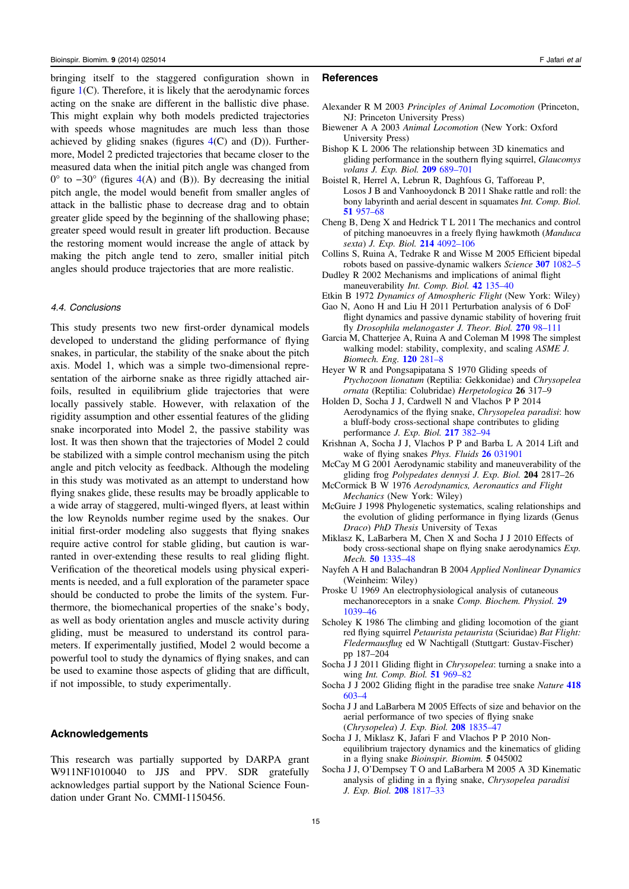<span id="page-15-0"></span>bringing itself to the staggered configuration shown in figure  $1(C)$  $1(C)$ . Therefore, it is likely that the aerodynamic forces acting on the snake are different in the ballistic dive phase. This might explain why both models predicted trajectories with speeds whose magnitudes are much less than those achieved by gliding snakes (figures  $4(C)$  $4(C)$  and (D)). Furthermore, Model 2 predicted trajectories that became closer to the measured data when the initial pitch angle was changed from  $0^{\circ}$  to  $-30^{\circ}$  (figures [4](#page-11-0)(A) and (B)). By decreasing the initial pitch angle, the model would benefit from smaller angles of attack in the ballistic phase to decrease drag and to obtain greater glide speed by the beginning of the shallowing phase; greater speed would result in greater lift production. Because the restoring moment would increase the angle of attack by making the pitch angle tend to zero, smaller initial pitch angles should produce trajectories that are more realistic.

# 4.4. Conclusions

This study presents two new first-order dynamical models developed to understand the gliding performance of flying snakes, in particular, the stability of the snake about the pitch axis. Model 1, which was a simple two-dimensional representation of the airborne snake as three rigidly attached airfoils, resulted in equilibrium glide trajectories that were locally passively stable. However, with relaxation of the rigidity assumption and other essential features of the gliding snake incorporated into Model 2, the passive stability was lost. It was then shown that the trajectories of Model 2 could be stabilized with a simple control mechanism using the pitch angle and pitch velocity as feedback. Although the modeling in this study was motivated as an attempt to understand how flying snakes glide, these results may be broadly applicable to a wide array of staggered, multi-winged flyers, at least within the low Reynolds number regime used by the snakes. Our initial first-order modeling also suggests that flying snakes require active control for stable gliding, but caution is warranted in over-extending these results to real gliding flight. Verification of the theoretical models using physical experiments is needed, and a full exploration of the parameter space should be conducted to probe the limits of the system. Furthermore, the biomechanical properties of the snake's body, as well as body orientation angles and muscle activity during gliding, must be measured to understand its control parameters. If experimentally justified, Model 2 would become a powerful tool to study the dynamics of flying snakes, and can be used to examine those aspects of gliding that are difficult, if not impossible, to study experimentally.

# Acknowledgements

This research was partially supported by DARPA grant W911NF1010040 to JJS and PPV. SDR gratefully acknowledges partial support by the National Science Foundation under Grant No. CMMI-1150456.

# **References**

- Alexander R M 2003 Principles of Animal Locomotion (Princeton, NJ: Princeton University Press)
- Biewener A A 2003 Animal Locomotion (New York: Oxford University Press)
- Bishop K L 2006 The relationship between 3D kinematics and gliding performance in the southern flying squirrel, Glaucomys volans J. Exp. Biol. 209 [689](http://dx.doi.org/10.1242/jeb.02062)–701
- Boistel R, Herrel A, Lebrun R, Daghfous G, Tafforeau P, Losos J B and Vanhooydonck B 2011 Shake rattle and roll: the bony labyrinth and aerial descent in squamates Int. Comp. Biol. 51 [957](http://dx.doi.org/10.1093/icb/icr034)–68
- Cheng B, Deng X and Hedrick T L 2011 The mechanics and control of pitching manoeuvres in a freely flying hawkmoth (Manduca sexta) J. Exp. Biol. 214 [4092](http://dx.doi.org/10.1242/jeb.062760)–106
- Collins S, Ruina A, Tedrake R and Wisse M 2005 Efficient bipedal robots based on passive-dynamic walkers Science 307 [1082](http://dx.doi.org/10.1126/science.1107799)–5
- Dudley R 2002 Mechanisms and implications of animal flight maneuverability Int. Comp. Biol. 42 [135](http://dx.doi.org/10.1093/icb/42.1.135)-40
- Etkin B 1972 Dynamics of Atmospheric Flight (New York: Wiley)
- Gao N, Aono H and Liu H 2011 Perturbation analysis of 6 DoF flight dynamics and passive dynamic stability of hovering fruit fly Drosophila melanogaster J. Theor. Biol. 270 98-[111](http://dx.doi.org/10.1016/j.jtbi.2010.11.022)
- Garcia M, Chatterjee A, Ruina A and Coleman M 1998 The simplest walking model: stability, complexity, and scaling ASME J. Biomech. Eng. 120 [281](http://dx.doi.org/10.1115/1.2798313)–8
- Heyer W R and Pongsapipatana S 1970 Gliding speeds of Ptychozoon lionatum (Reptilia: Gekkonidae) and Chrysopelea ornata (Reptilia: Colubridae) Herpetologica 26 317–9
- Holden D, Socha J J, Cardwell N and Vlachos P P 2014 Aerodynamics of the flying snake, Chrysopelea paradisi: how a bluff-body cross-sectional shape contributes to gliding performance J. Exp. Biol. 217 [382](http://dx.doi.org/10.1242/jeb.090902)–94
- Krishnan A, Socha J J, Vlachos P P and Barba L A 2014 Lift and wake of flying snakes *Phys. Fluids* 26 [031901](http://dx.doi.org/10.1063/1.4866444)
- McCay M G 2001 Aerodynamic stability and maneuverability of the gliding frog Polypedates dennysi J. Exp. Biol. 204 2817–26
- McCormick B W 1976 Aerodynamics, Aeronautics and Flight Mechanics (New York: Wiley)
- McGuire J 1998 Phylogenetic systematics, scaling relationships and the evolution of gliding performance in flying lizards (Genus Draco) PhD Thesis University of Texas
- Miklasz K, LaBarbera M, Chen X and Socha J J 2010 Effects of body cross-sectional shape on flying snake aerodynamics Exp. Mech. 50 [1335](http://dx.doi.org/10.1007/s11340-010-9351-5)–48
- Nayfeh A H and Balachandran B 2004 Applied Nonlinear Dynamics (Weinheim: Wiley)
- Proske U 1969 An electrophysiological analysis of cutaneous mechanoreceptors in a snake Comp. Biochem. Physiol. [29](http://dx.doi.org/10.1016/0010-406X(69)91006-8) [1039](http://dx.doi.org/10.1016/0010-406X(69)91006-8)–46
- Scholey K 1986 The climbing and gliding locomotion of the giant red flying squirrel Petaurista petaurista (Sciuridae) Bat Flight: Fledermausflug ed W Nachtigall (Stuttgart: Gustav-Fischer) pp 187–204
- Socha J J 2011 Gliding flight in *Chrysopelea*: turning a snake into a wing Int. Comp. Biol. 51 [969](http://dx.doi.org/10.1093/icb/icr092)-82
- Socha J J 2002 Gliding flight in the paradise tree snake Nature [418](http://dx.doi.org/10.1038/418603a) [603](http://dx.doi.org/10.1038/418603a)–4
- Socha J J and LaBarbera M 2005 Effects of size and behavior on the aerial performance of two species of flying snake (Chrysopelea) J. Exp. Biol. 208 [1835](http://dx.doi.org/10.1242/jeb.01580)–47
- Socha J J, Miklasz K, Jafari F and Vlachos P P 2010 Nonequilibrium trajectory dynamics and the kinematics of gliding in a flying snake Bioinspir. Biomim. 5 045002
- Socha J J, O'Dempsey T O and LaBarbera M 2005 A 3D Kinematic analysis of gliding in a flying snake, Chrysopelea paradisi J. Exp. Biol. 208 [1817](http://dx.doi.org/10.1242/jeb.01579)–33